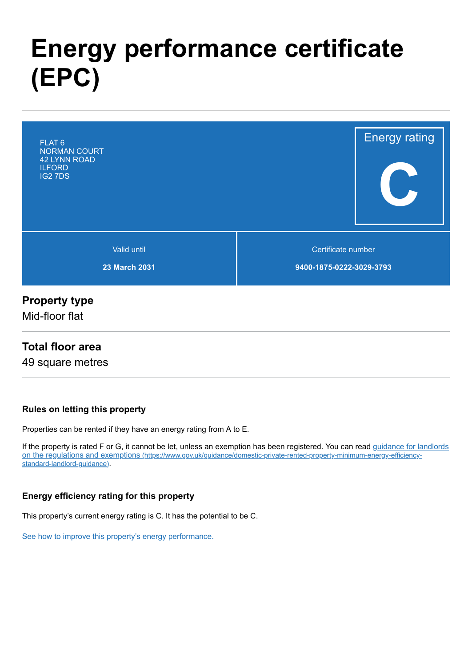# **Energy performance certificate (EPC)**



## **Property type**

Mid-floor flat

#### **Total floor area**

49 square metres

#### **Rules on letting this property**

Properties can be rented if they have an energy rating from A to E.

[If the property is rated F or G, it cannot be let, unless an exemption has been registered. You can read guidance for landlords](https://www.gov.uk/guidance/domestic-private-rented-property-minimum-energy-efficiency-standard-landlord-guidance) on the regulations and exemptions (https://www.gov.uk/guidance/domestic-private-rented-property-minimum-energy-efficiencystandard-landlord-guidance).

#### **Energy efficiency rating for this property**

This property's current energy rating is C. It has the potential to be C.

[See how to improve this property's energy performance.](#page-3-0)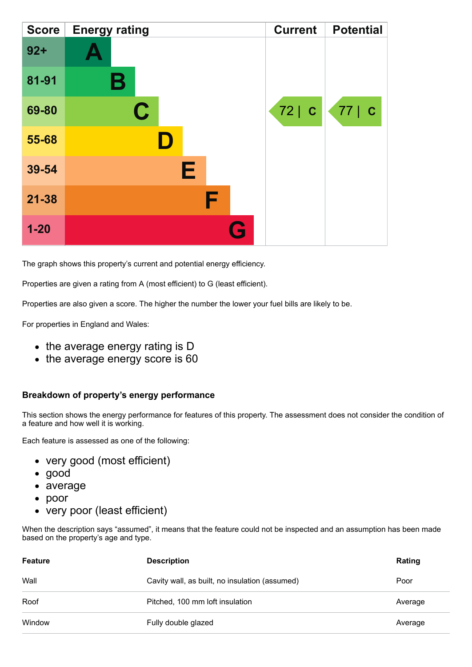| <b>Score</b> | <b>Energy rating</b> | <b>Current</b> | <b>Potential</b> |
|--------------|----------------------|----------------|------------------|
| $92 +$       |                      |                |                  |
| 81-91        | Β                    |                |                  |
| 69-80        | $\mathbf C$          | 72   C         | 77   C           |
| 55-68        |                      |                |                  |
| 39-54        | Е                    |                |                  |
| $21 - 38$    | F                    |                |                  |
| $1 - 20$     |                      | Q              |                  |

The graph shows this property's current and potential energy efficiency.

Properties are given a rating from A (most efficient) to G (least efficient).

Properties are also given a score. The higher the number the lower your fuel bills are likely to be.

For properties in England and Wales:

- the average energy rating is D
- the average energy score is 60

#### **Breakdown of property's energy performance**

This section shows the energy performance for features of this property. The assessment does not consider the condition of a feature and how well it is working.

Each feature is assessed as one of the following:

- very good (most efficient)
- good
- average
- poor
- very poor (least efficient)

When the description says "assumed", it means that the feature could not be inspected and an assumption has been made based on the property's age and type.

| Feature | <b>Description</b>                             | Rating  |
|---------|------------------------------------------------|---------|
| Wall    | Cavity wall, as built, no insulation (assumed) | Poor    |
| Roof    | Pitched, 100 mm loft insulation                | Average |
| Window  | Fully double glazed                            | Average |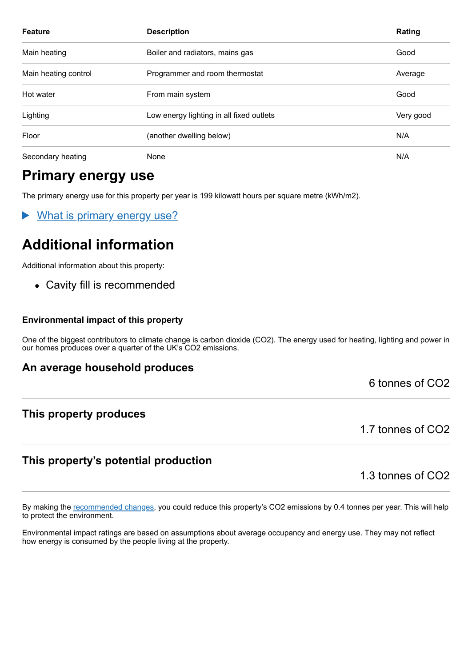| <b>Feature</b>       | <b>Description</b>                       | Rating    |
|----------------------|------------------------------------------|-----------|
| Main heating         | Boiler and radiators, mains gas          | Good      |
| Main heating control | Programmer and room thermostat           | Average   |
| Hot water            | From main system                         | Good      |
| Lighting             | Low energy lighting in all fixed outlets | Very good |
| Floor                | (another dwelling below)                 | N/A       |
| Secondary heating    | None                                     | N/A       |

# **Primary energy use**

The primary energy use for this property per year is 199 kilowatt hours per square metre (kWh/m2).

What is primary energy use?

# **Additional information**

Additional information about this property:

• Cavity fill is recommended

#### **Environmental impact of this property**

One of the biggest contributors to climate change is carbon dioxide (CO2). The energy used for heating, lighting and power in our homes produces over a quarter of the UK's CO2 emissions.

#### **An average household produces**

6 tonnes of CO2

#### **This property produces**

1.7 tonnes of CO2

#### **This property's potential production**

1.3 tonnes of CO2

By making the [recommended changes,](#page-3-0) you could reduce this property's CO2 emissions by 0.4 tonnes per year. This will help to protect the environment.

Environmental impact ratings are based on assumptions about average occupancy and energy use. They may not reflect how energy is consumed by the people living at the property.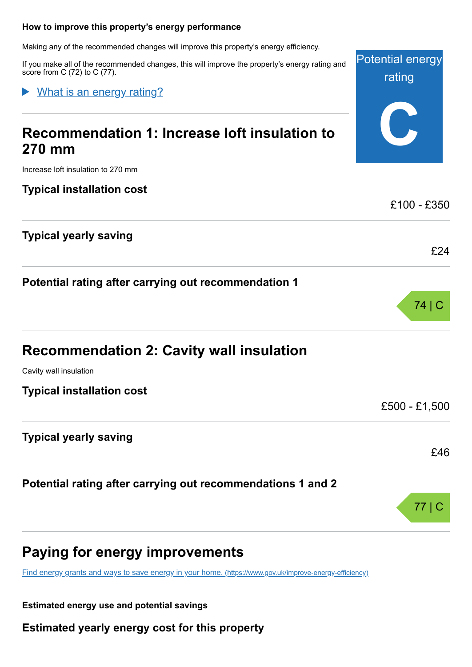#### <span id="page-3-0"></span>**How to improve this property's energy performance**

Making any of the recommended changes will improve this property's energy efficiency.

If you make all of the recommended changes, this will improve the property's energy rating and score from C (72) to C (77).

Potential energy

rating

What is an energy rating?  $\blacktriangleright$ 

| Paying for energy improvements                              |               |
|-------------------------------------------------------------|---------------|
| Potential rating after carrying out recommendations 1 and 2 | 77            |
|                                                             | £46           |
| <b>Typical yearly saving</b>                                |               |
| <b>Typical installation cost</b>                            | £500 - £1,500 |
| Cavity wall insulation                                      |               |
| <b>Recommendation 2: Cavity wall insulation</b>             |               |
|                                                             | 74 C          |
| Potential rating after carrying out recommendation 1        |               |
|                                                             | £24           |
| <b>Typical yearly saving</b>                                |               |
| <b>Typical installation cost</b>                            | £100 - £350   |
| Increase loft insulation to 270 mm                          |               |
| <b>270 mm</b>                                               |               |
| Recommendation 1: Increase loft insulation to               |               |
|                                                             |               |

[Find energy grants and ways to save energy in your home.](https://www.gov.uk/improve-energy-efficiency) (https://www.gov.uk/improve-energy-efficiency)

**Estimated energy use and potential savings**

**Estimated yearly energy cost for this property**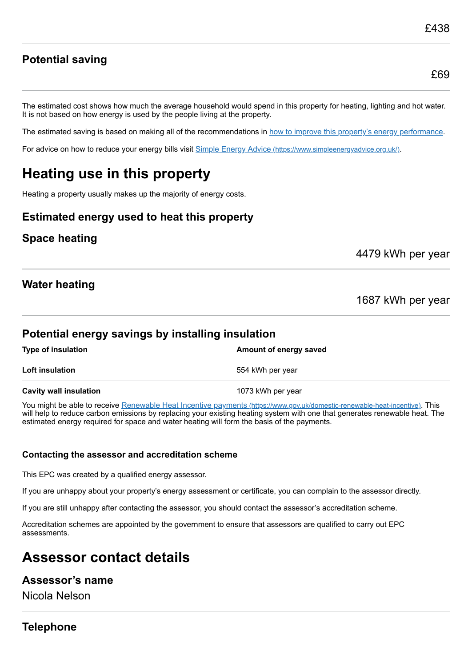£69

## **Potential saving**

The estimated cost shows how much the average household would spend in this property for heating, lighting and hot water. It is not based on how energy is used by the people living at the property.

The estimated saving is based on making all of the recommendations in [how to improve this property's energy performance.](#page-3-0)

For advice on how to reduce your energy bills visit Simple Energy Advice [\(https://www.simpleenergyadvice.org.uk/\)](https://www.simpleenergyadvice.org.uk/).

# **Heating use in this property**

Heating a property usually makes up the majority of energy costs.

## **Estimated energy used to heat this property**

## **Space heating**

4479 kWh per year

## **Water heating**

1687 kWh per year

## **Potential energy savings by installing insulation**

| <b>Type of insulation</b>     | Amount of energy saved |
|-------------------------------|------------------------|
| <b>Loft insulation</b>        | 554 kWh per year       |
| <b>Cavity wall insulation</b> | 1073 kWh per year      |

You might be able to receive Renewable Heat Incentive payments [\(https://www.gov.uk/domestic-renewable-heat-incentive\)](https://www.gov.uk/domestic-renewable-heat-incentive). This will help to reduce carbon emissions by replacing your existing heating system with one that generates renewable heat. The estimated energy required for space and water heating will form the basis of the payments.

#### **Contacting the assessor and accreditation scheme**

This EPC was created by a qualified energy assessor.

If you are unhappy about your property's energy assessment or certificate, you can complain to the assessor directly.

If you are still unhappy after contacting the assessor, you should contact the assessor's accreditation scheme.

Accreditation schemes are appointed by the government to ensure that assessors are qualified to carry out EPC assessments.

# **Assessor contact details**

#### **Assessor's name**

Nicola Nelson

## **Telephone**